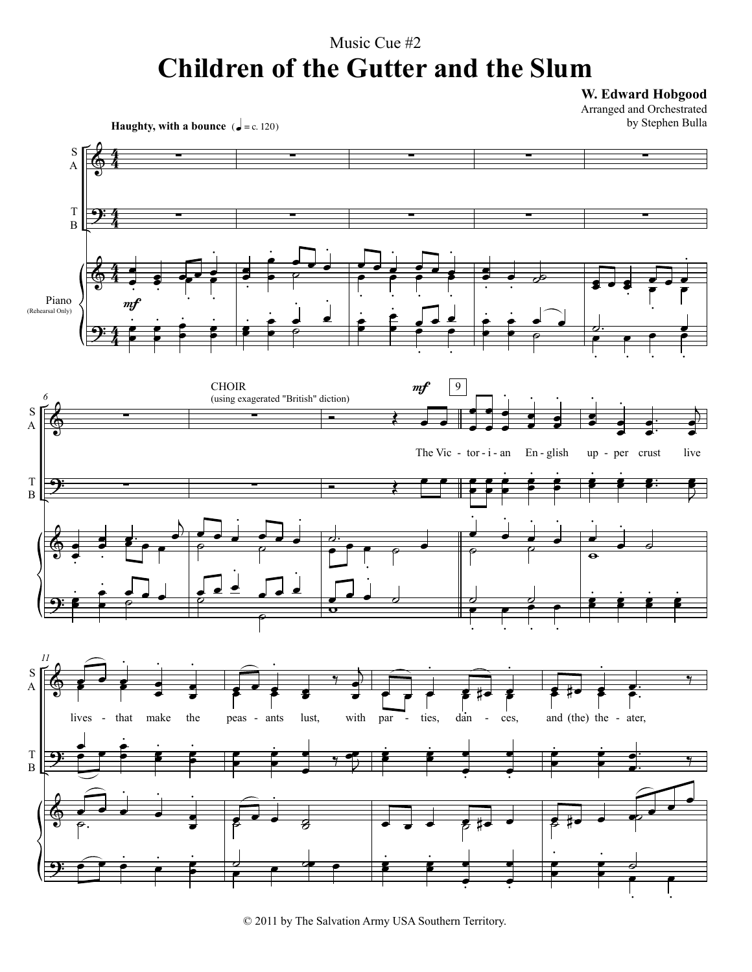## Music Cue #2 **Children of the Gutter and the Slum**

W. Edward Hobgood

Arranged and Orchestrated by Stephen Bulla



<sup>© 2011</sup> by The Salvation Army USA Southern Territory.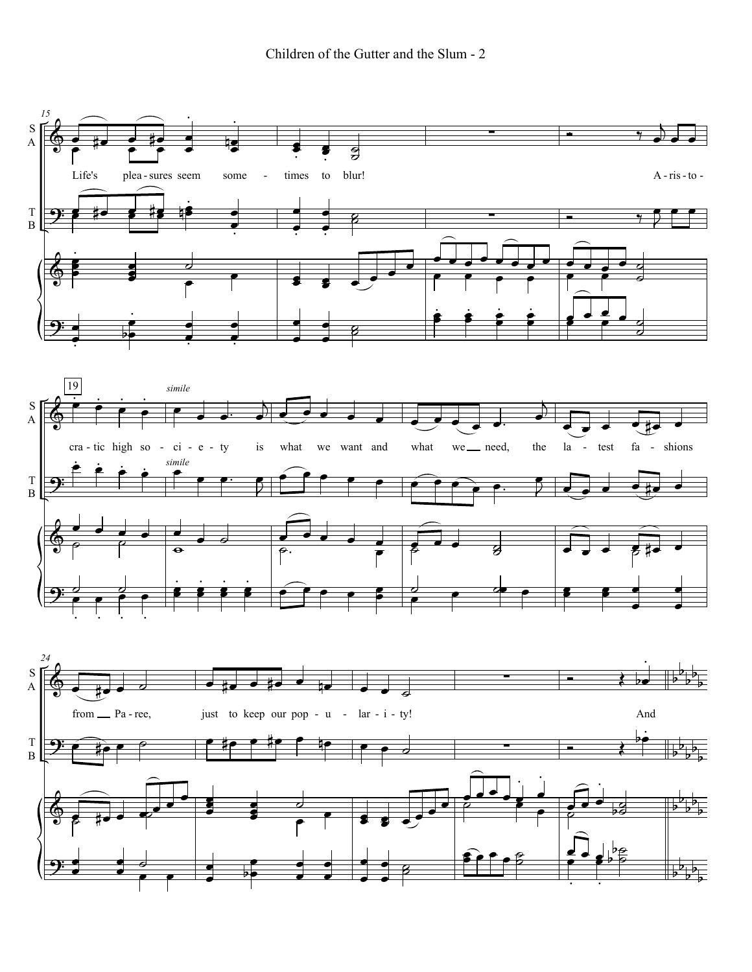Children of the Gutter and the Slum - 2

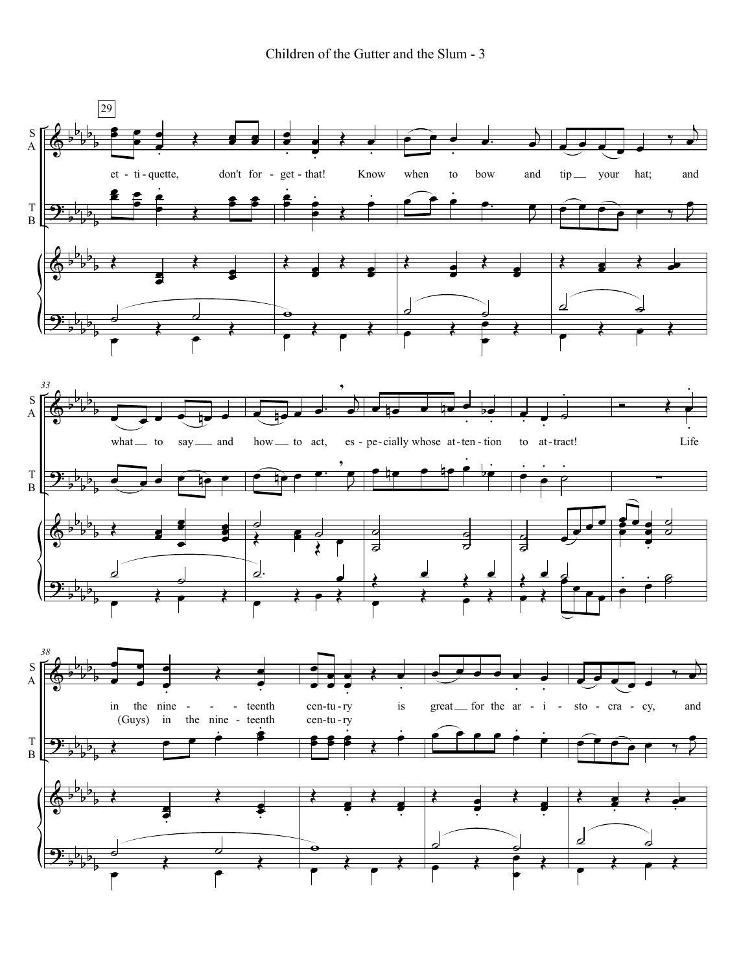Children of the Gutter and the Slum - 3

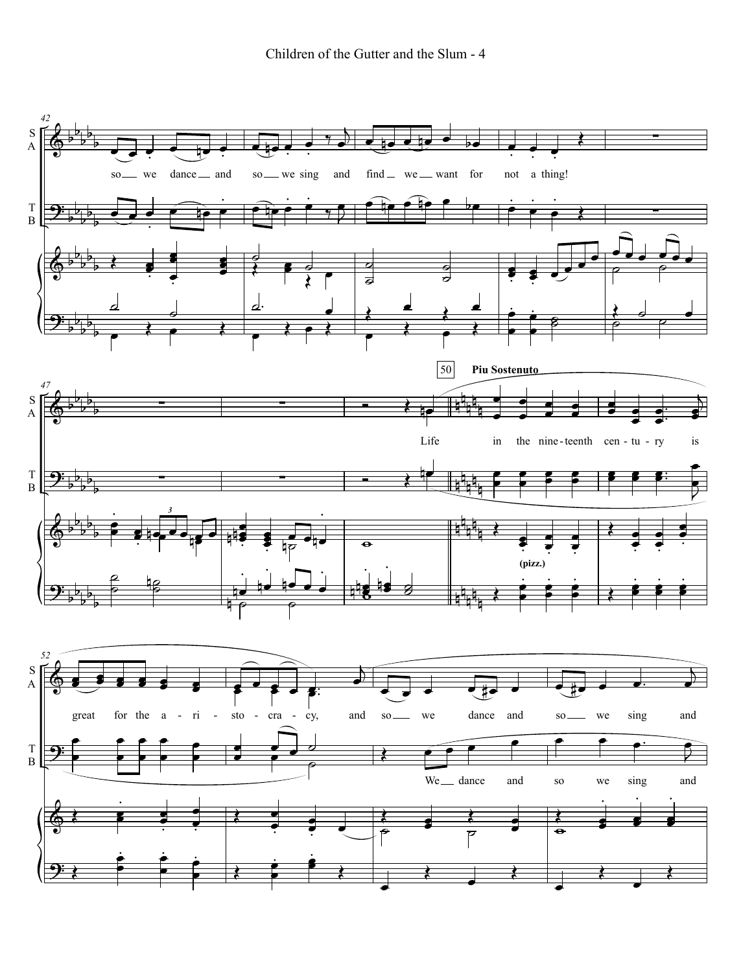Children of the Gutter and the Slum - 4

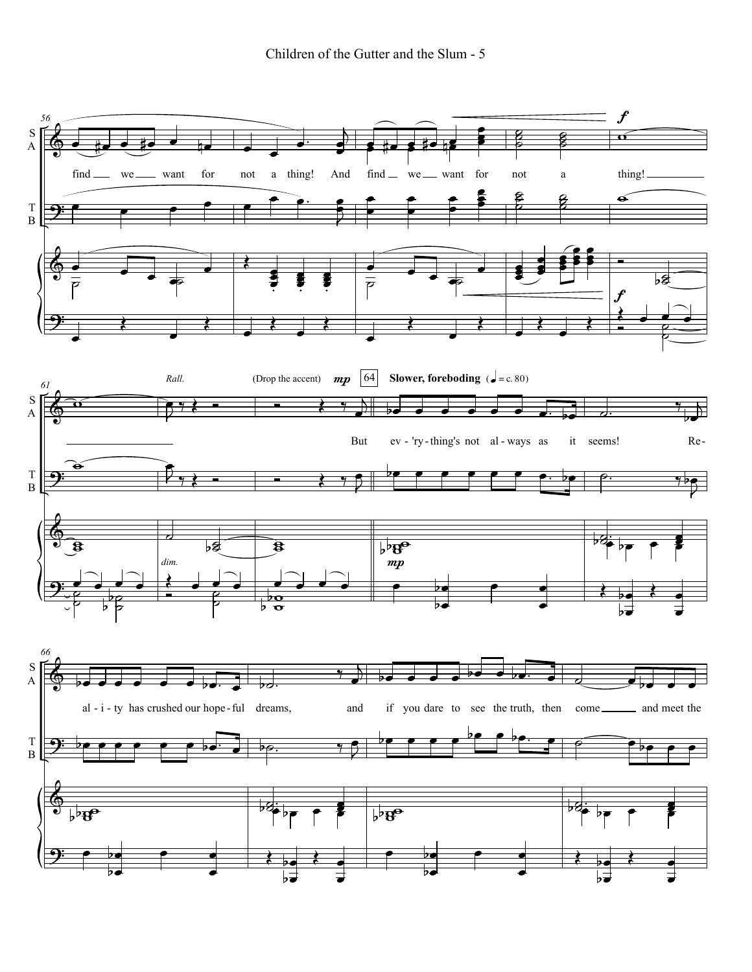Children of the Gutter and the Slum - 5

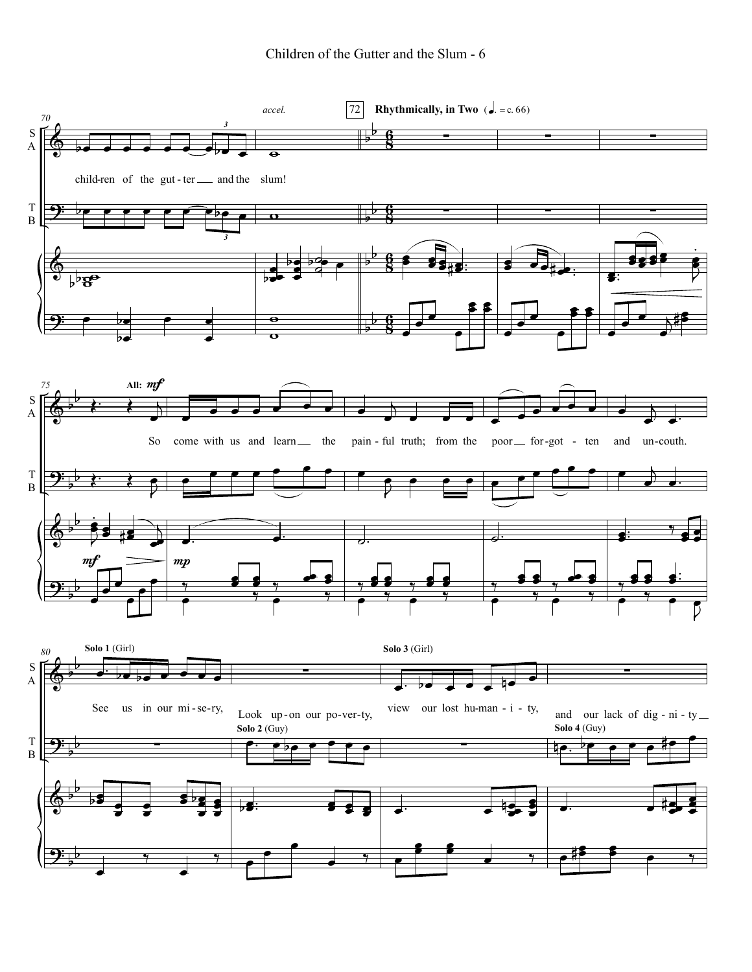Children of the Gutter and the Slum - 6

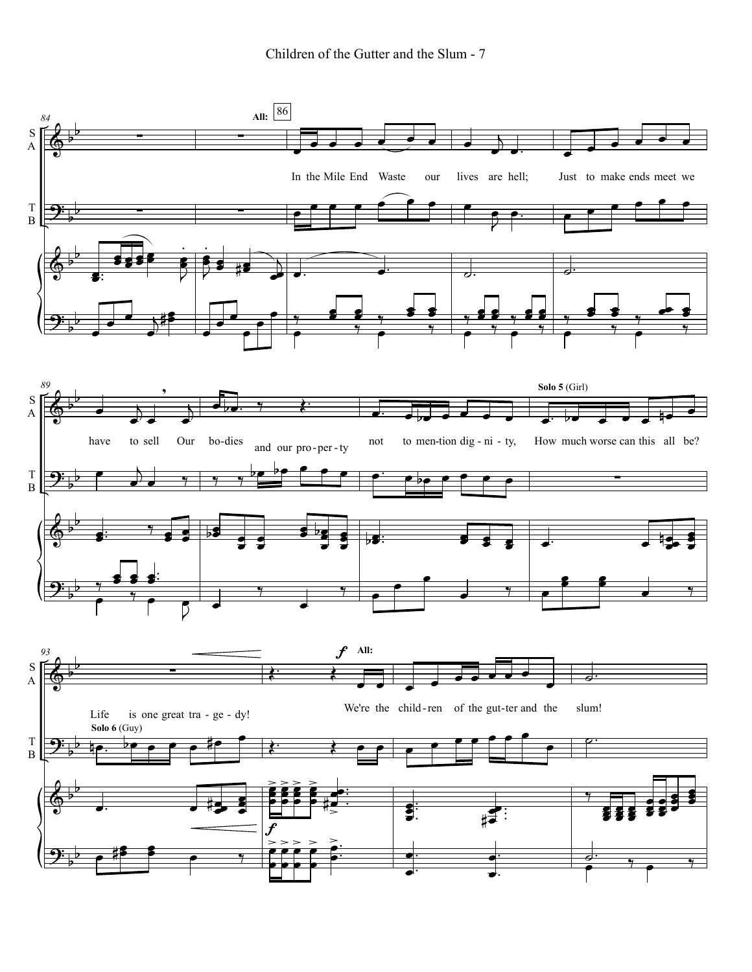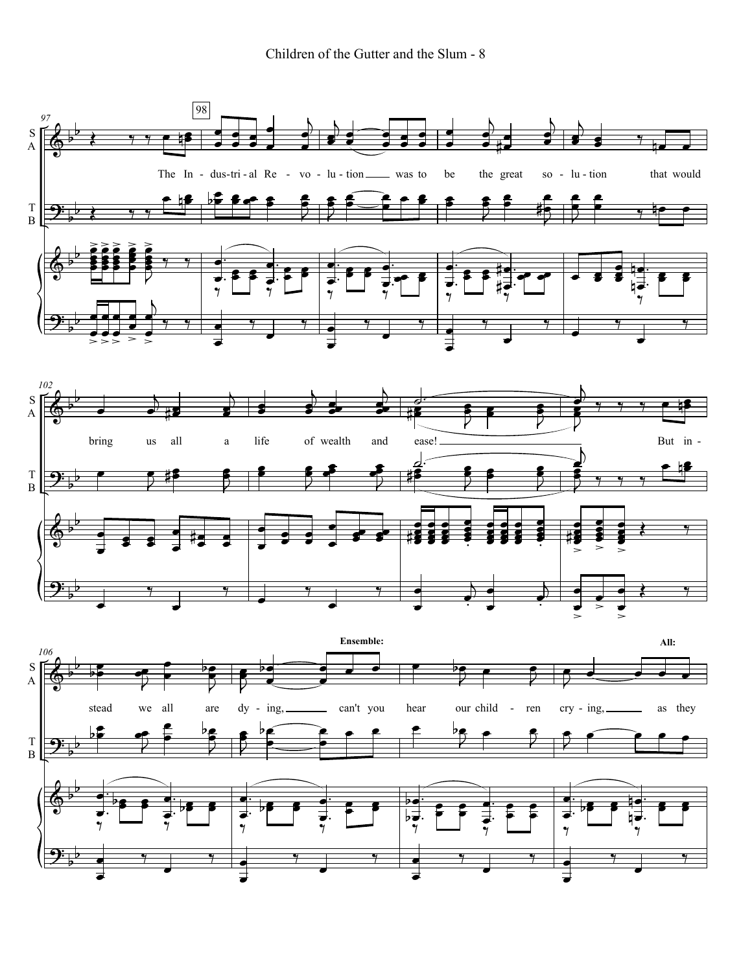Children of the Gutter and the Slum - 8

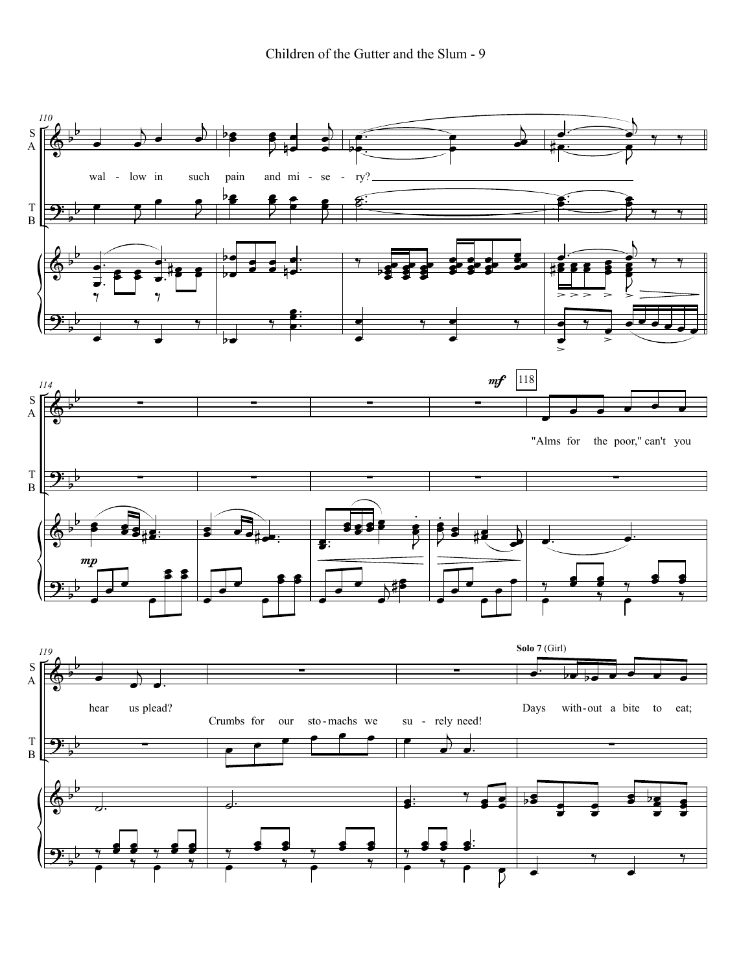Children of the Gutter and the Slum - 9

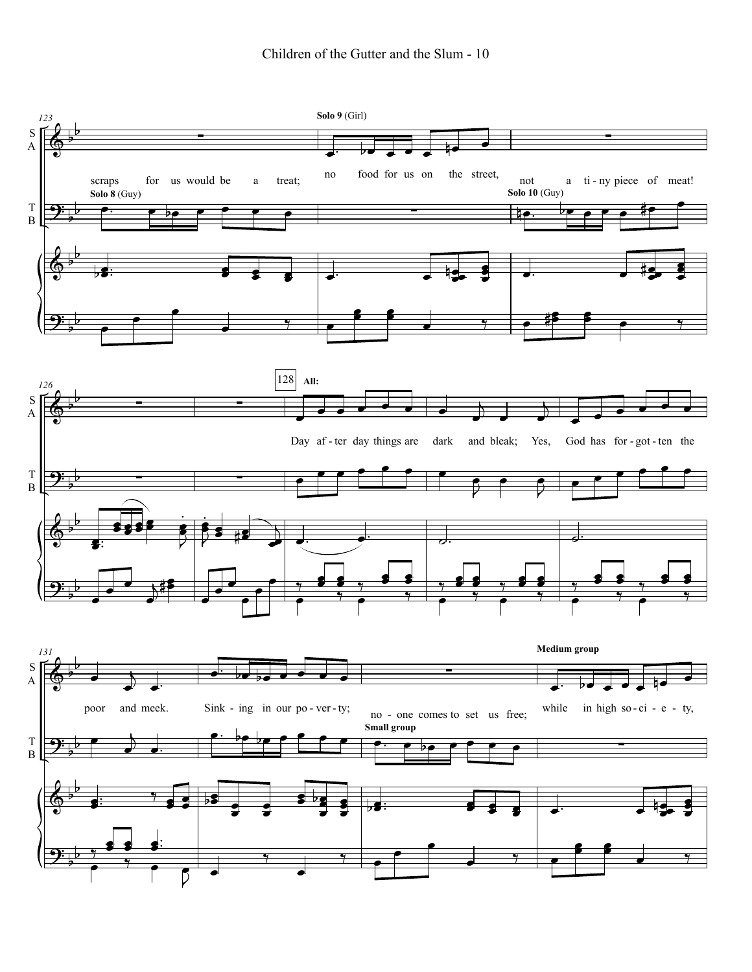## Children of the Gutter and the Slum - 10

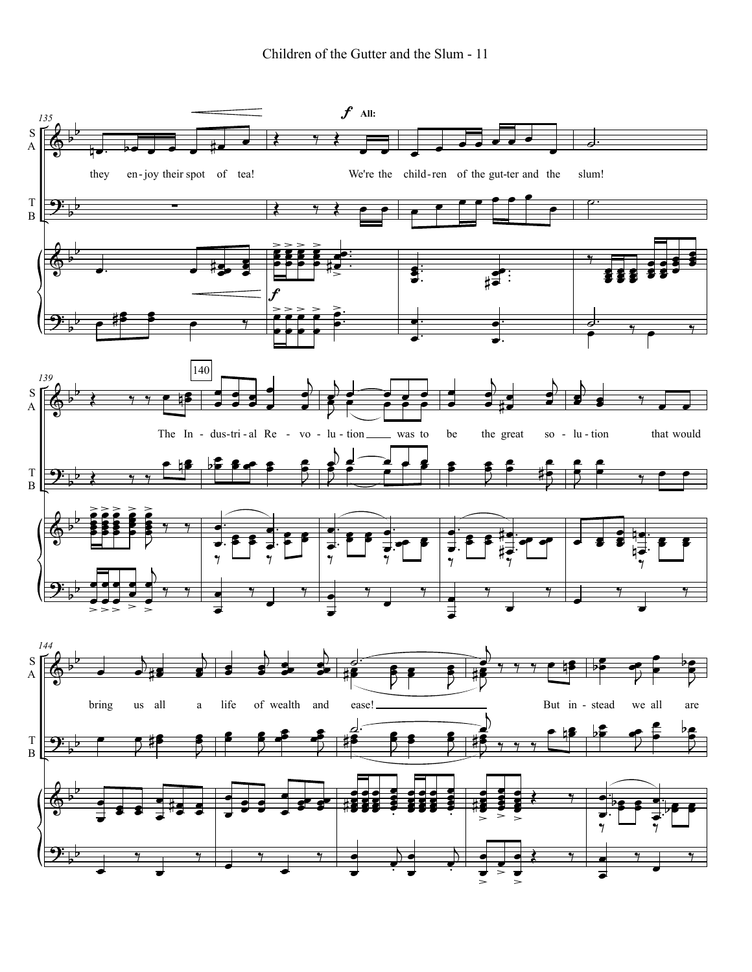![](_page_10_Figure_1.jpeg)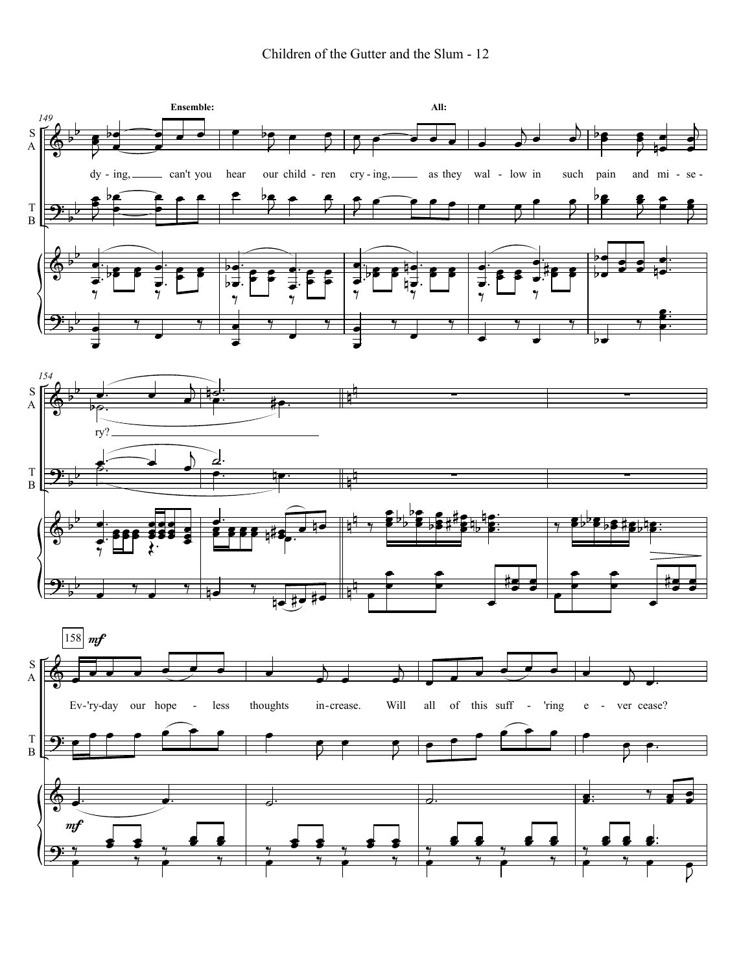![](_page_11_Figure_1.jpeg)